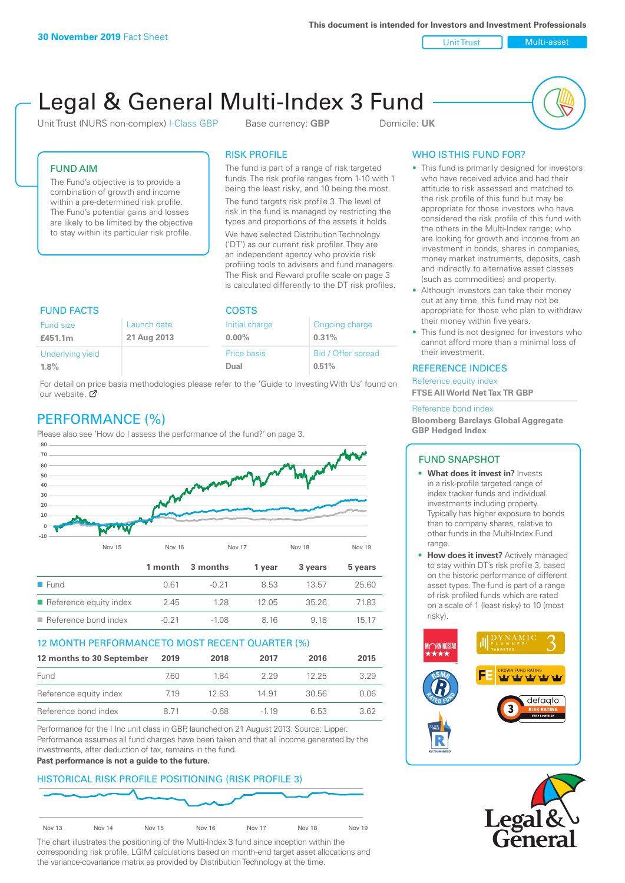Unit Trust Nulti-asset

# Legal & General Multi-Index 3 Fund

Unit Trust (NURS non-complex) I-Class GBP Base currency: **GBP** Domicile: UK



## FUND AIM

The Fund's objective is to provide a combination of growth and income within a pre-determined risk profile. The Fund's potential gains and losses are likely to be limited by the objective to stay within its particular risk profile.

### RISK PROFILE

The fund is part of a range of risk targeted funds. The risk profile ranges from 1-10 with 1 being the least risky, and 10 being the most.

The fund targets risk profile 3. The level of risk in the fund is managed by restricting the types and proportions of the assets it holds. We have selected Distribution Technology ('DT') as our current risk profiler. They are an independent agency who provide risk profiling tools to advisers and fund managers. The Risk and Reward profile scale on page 3 is calculated differently to the DT risk profiles.

| <b>FUND FACTS</b> |             | <b>COSTS</b>   |                    |  |
|-------------------|-------------|----------------|--------------------|--|
| Fund size         | Launch date | Initial charge | Ongoing charge     |  |
| £451.1m           | 21 Aug 2013 | $0.00\%$       | 0.31%              |  |
| Underlying yield  |             | Price basis    | Bid / Offer spread |  |
| 1.8%              |             | Dual           | 0.51%              |  |

For detail on price basis methodologies please refer to the 'Guide to Investing With Us' found on our website. Ø

# PERFORMANCE (%)

Please also see 'How do I assess the performance of the fund?' on page 3.



#### 12 MONTH PERFORMANCE TO MOST RECENT QUARTER (%)

| 12 months to 30 September | 2019 | 2018  | 2017   | 2016  | 2015 |
|---------------------------|------|-------|--------|-------|------|
| Fund                      | 760  | 1 84  | 229    | 12.25 | 3.29 |
| Reference equity index    | 719  | 12.83 | 14.91  | 30.56 | 0.06 |
| Reference bond index      | 8.71 | -0.68 | $-119$ | 6.53  | 3.62 |

Performance for the I Inc unit class in GBP, launched on 21 August 2013. Source: Lipper. Performance assumes all fund charges have been taken and that all income generated by the investments, after deduction of tax, remains in the fund.

#### **Past performance is not a guide to the future.**

# HISTORICAL RISK PROFILE POSITIONING (RISK PROFILE 3)



The chart illustrates the positioning of the Multi-Index 3 fund since inception within the corresponding risk profile. LGIM calculations based on month-end target asset allocations and the variance-covariance matrix as provided by Distribution Technology at the time.

## WHO IS THIS FUND FOR?

- This fund is primarily designed for investors: who have received advice and had their attitude to risk assessed and matched to the risk profile of this fund but may be appropriate for those investors who have considered the risk profile of this fund with the others in the Multi-Index range; who are looking for growth and income from an investment in bonds, shares in companies, money market instruments, deposits, cash and indirectly to alternative asset classes (such as commodities) and property.
- Although investors can take their money out at any time, this fund may not be appropriate for those who plan to withdraw their money within five years.
- This fund is not designed for investors who cannot afford more than a minimal loss of their investment.

#### REFERENCE INDICES

Reference equity index **FTSE All World Net Tax TR GBP**

#### Reference bond index

**Bloomberg Barclays Global Aggregate GBP Hedged Index**

#### FUND SNAPSHOT

- **• What does it invest in?** Invests in a risk-profile targeted range of index tracker funds and individual investments including property. Typically has higher exposure to bonds than to company shares, relative to other funds in the Multi-Index Fund range.
- **• How does it invest?** Actively managed to stay within DT's risk profile 3, based on the historic performance of different asset types. The fund is part of a range of risk profiled funds which are rated on a scale of 1 (least risky) to 10 (most risky).



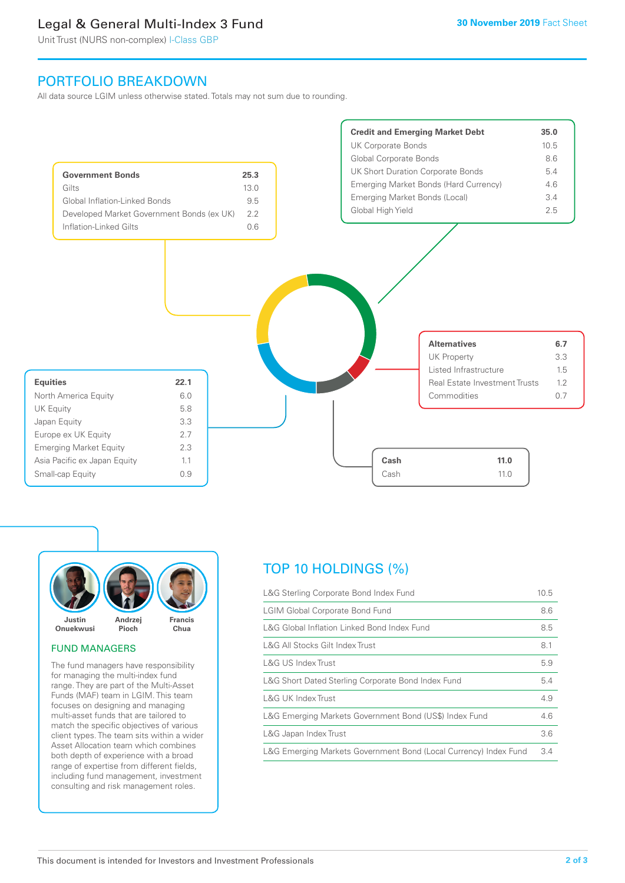# Legal & General Multi-Index 3 Fund

Unit Trust (NURS non-complex) I-Class GBP

# PORTFOLIO BREAKDOWN

All data source LGIM unless otherwise stated. Totals may not sum due to rounding.





#### FUND MANAGERS

The fund managers have responsibility for managing the multi-index fund range. They are part of the Multi-Asset Funds (MAF) team in LGIM. This team focuses on designing and managing multi-asset funds that are tailored to match the specific objectives of various client types. The team sits within a wider Asset Allocation team which combines both depth of experience with a broad range of expertise from different fields, including fund management, investment consulting and risk management roles.

# TOP 10 HOLDINGS (%)

| L&G Sterling Corporate Bond Index Fund                           | 10.5 |
|------------------------------------------------------------------|------|
| <b>LGIM Global Corporate Bond Fund</b>                           | 8.6  |
| L&G Global Inflation Linked Bond Index Fund                      | 8.5  |
| L&G All Stocks Gilt Index Trust                                  | 8.1  |
| L&G US Index Trust                                               | 5.9  |
| L&G Short Dated Sterling Corporate Bond Index Fund               | 5.4  |
| L&G UK Index Trust                                               | 4.9  |
| L&G Emerging Markets Government Bond (US\$) Index Fund           | 4.6  |
| L&G Japan Index Trust                                            | 3.6  |
| L&G Emerging Markets Government Bond (Local Currency) Index Fund | 3.4  |